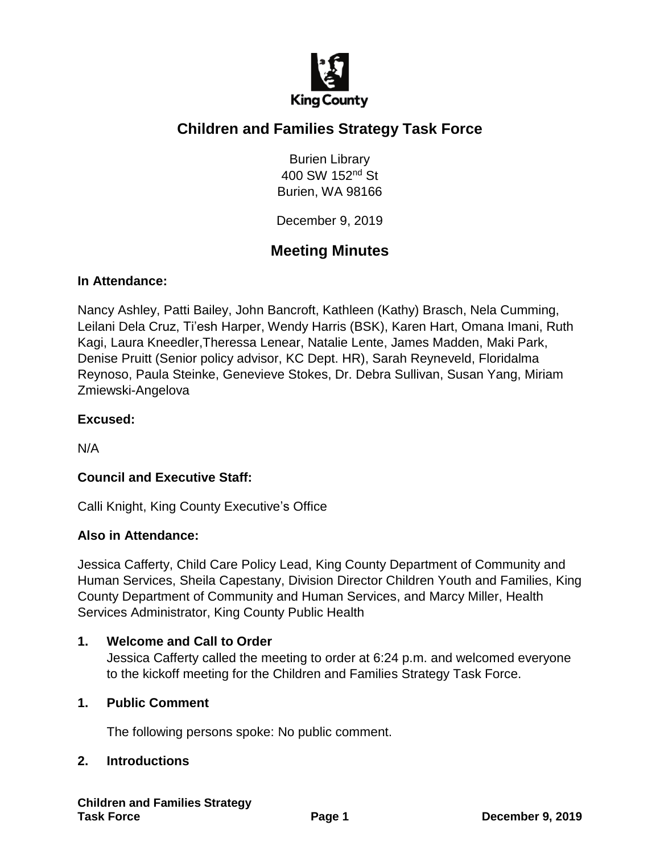

# **Children and Families Strategy Task Force**

Burien Library 400 SW 152nd St Burien, WA 98166

December 9, 2019

# **Meeting Minutes**

#### **In Attendance:**

Nancy Ashley, Patti Bailey, John Bancroft, Kathleen (Kathy) Brasch, Nela Cumming, Leilani Dela Cruz, Ti'esh Harper, Wendy Harris (BSK), Karen Hart, Omana Imani, Ruth Kagi, Laura Kneedler,Theressa Lenear, Natalie Lente, James Madden, Maki Park, Denise Pruitt (Senior policy advisor, KC Dept. HR), Sarah Reyneveld, Floridalma Reynoso, Paula Steinke, Genevieve Stokes, Dr. Debra Sullivan, Susan Yang, Miriam Zmiewski-Angelova

#### **Excused:**

N/A

# **Council and Executive Staff:**

Calli Knight, King County Executive's Office

#### **Also in Attendance:**

Jessica Cafferty, Child Care Policy Lead, King County Department of Community and Human Services, Sheila Capestany, Division Director Children Youth and Families, King County Department of Community and Human Services, and Marcy Miller, Health Services Administrator, King County Public Health

#### **1. Welcome and Call to Order**

Jessica Cafferty called the meeting to order at 6:24 p.m. and welcomed everyone to the kickoff meeting for the Children and Families Strategy Task Force.

#### **1. Public Comment**

The following persons spoke: No public comment.

#### **2. Introductions**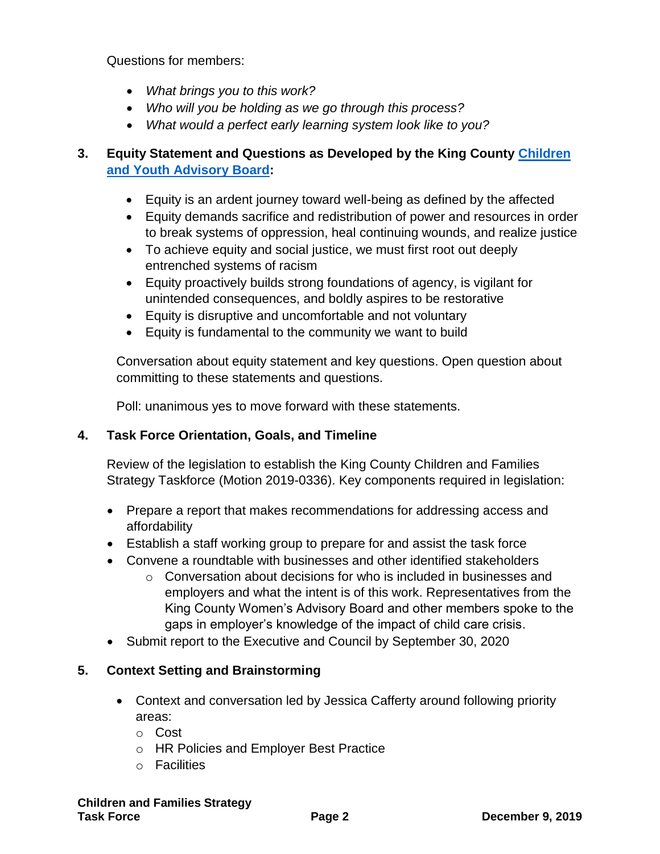Questions for members:

- *What brings you to this work?*
- *Who will you be holding as we go through this process?*
- *What would a perfect early learning system look like to you?*

# **3. Equity Statement and Questions as Developed by the King County [Children](https://www.kingcounty.gov/depts/community-human-services/initiatives/best-starts-for-kids/advisory-board.aspx)  [and Youth Advisory Board:](https://www.kingcounty.gov/depts/community-human-services/initiatives/best-starts-for-kids/advisory-board.aspx)**

- Equity is an ardent journey toward well-being as defined by the affected
- Equity demands sacrifice and redistribution of power and resources in order to break systems of oppression, heal continuing wounds, and realize justice
- To achieve equity and social justice, we must first root out deeply entrenched systems of racism
- Equity proactively builds strong foundations of agency, is vigilant for unintended consequences, and boldly aspires to be restorative
- Equity is disruptive and uncomfortable and not voluntary
- Equity is fundamental to the community we want to build

Conversation about equity statement and key questions. Open question about committing to these statements and questions.

Poll: unanimous yes to move forward with these statements.

# **4. Task Force Orientation, Goals, and Timeline**

Review of the legislation to establish the King County Children and Families Strategy Taskforce (Motion 2019-0336). Key components required in legislation:

- Prepare a report that makes recommendations for addressing access and affordability
- Establish a staff working group to prepare for and assist the task force
- Convene a roundtable with businesses and other identified stakeholders
	- $\circ$  Conversation about decisions for who is included in businesses and employers and what the intent is of this work. Representatives from the King County Women's Advisory Board and other members spoke to the gaps in employer's knowledge of the impact of child care crisis.
- Submit report to the Executive and Council by September 30, 2020

# **5. Context Setting and Brainstorming**

- Context and conversation led by Jessica Cafferty around following priority areas:
	- o Cost
	- o HR Policies and Employer Best Practice
	- o Facilities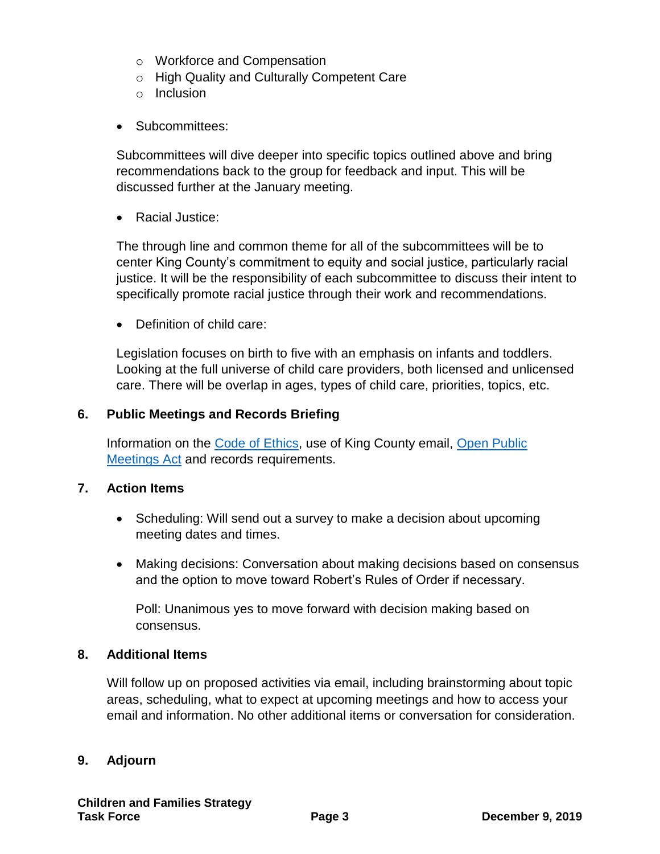- o Workforce and Compensation
- o High Quality and Culturally Competent Care
- o Inclusion
- Subcommittees:

Subcommittees will dive deeper into specific topics outlined above and bring recommendations back to the group for feedback and input. This will be discussed further at the January meeting.

• Racial Justice:

The through line and common theme for all of the subcommittees will be to center King County's commitment to equity and social justice, particularly racial justice. It will be the responsibility of each subcommittee to discuss their intent to specifically promote racial justice through their work and recommendations.

• Definition of child care:

Legislation focuses on birth to five with an emphasis on infants and toddlers. Looking at the full universe of child care providers, both licensed and unlicensed care. There will be overlap in ages, types of child care, priorities, topics, etc.

#### **6. Public Meetings and Records Briefing**

Information on the [Code of Ethics,](https://www.kingcounty.gov/~/media/depts/executive-services/risk-management/documents/code-of-ethics-complete.ashx?la=en) use of King County email, [Open Public](https://apps.leg.wa.gov/rcw/default.aspx?cite=42.30) [Meetings Act](https://apps.leg.wa.gov/rcw/default.aspx?cite=42.30) and records requirements.

#### **7. Action Items**

- Scheduling: Will send out a survey to make a decision about upcoming meeting dates and times.
- Making decisions: Conversation about making decisions based on consensus and the option to move toward Robert's Rules of Order if necessary.

Poll: Unanimous yes to move forward with decision making based on consensus.

#### **8. Additional Items**

Will follow up on proposed activities via email, including brainstorming about topic areas, scheduling, what to expect at upcoming meetings and how to access your email and information. No other additional items or conversation for consideration.

#### **9. Adjourn**